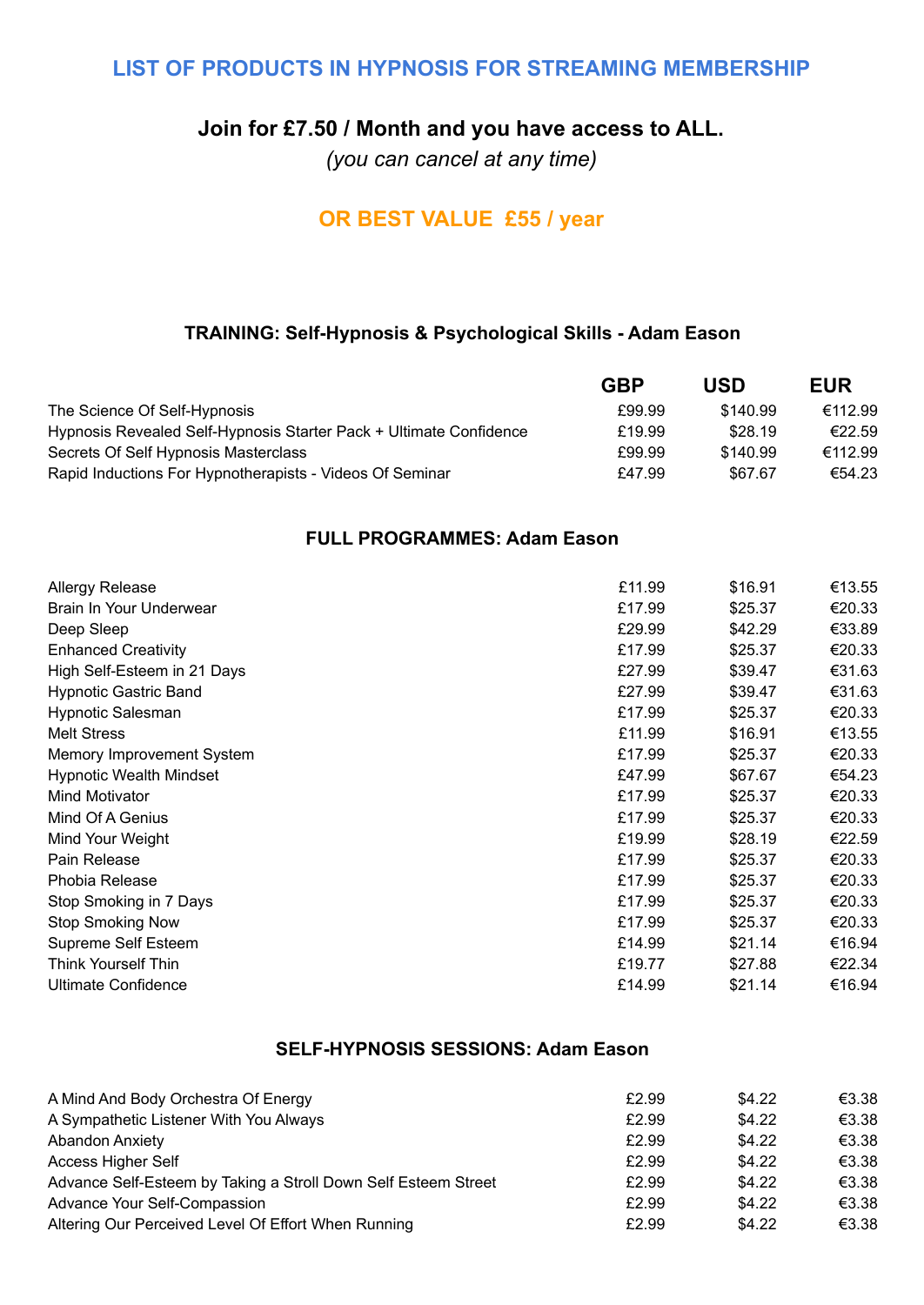### **LIST OF PRODUCTS IN HYPNOSIS FOR STREAMING MEMBERSHIP**

### **Join for £7.50 / Month and you have access to ALL.**

*(you can cancel at any time)*

# **OR BEST VALUE £55 / year**

### **TRAINING: Self-Hypnosis & Psychological Skills - Adam Eason**

|                                                                    | <b>GBP</b> | USD      | <b>EUR</b> |
|--------------------------------------------------------------------|------------|----------|------------|
| The Science Of Self-Hypnosis                                       | £99.99     | \$140.99 | €112.99    |
| Hypnosis Revealed Self-Hypnosis Starter Pack + Ultimate Confidence | £19.99     | \$28.19  | €22.59     |
| Secrets Of Self Hypnosis Masterclass                               | £99.99     | \$140.99 | €112.99    |
| Rapid Inductions For Hypnotherapists - Videos Of Seminar           | £47.99     | \$67.67  | €54.23     |

#### **FULL PROGRAMMES: Adam Eason**

| <b>Allergy Release</b>         | £11.99 | \$16.91 | €13.55 |
|--------------------------------|--------|---------|--------|
| Brain In Your Underwear        | £17.99 | \$25.37 | €20.33 |
| Deep Sleep                     | £29.99 | \$42.29 | €33.89 |
| <b>Enhanced Creativity</b>     | £17.99 | \$25.37 | €20.33 |
| High Self-Esteem in 21 Days    | £27.99 | \$39.47 | €31.63 |
| <b>Hypnotic Gastric Band</b>   | £27.99 | \$39.47 | €31.63 |
| <b>Hypnotic Salesman</b>       | £17.99 | \$25.37 | €20.33 |
| <b>Melt Stress</b>             | £11.99 | \$16.91 | €13.55 |
| Memory Improvement System      | £17.99 | \$25.37 | €20.33 |
| <b>Hypnotic Wealth Mindset</b> | £47.99 | \$67.67 | €54.23 |
| Mind Motivator                 | £17.99 | \$25.37 | €20.33 |
| Mind Of A Genius               | £17.99 | \$25.37 | €20.33 |
| Mind Your Weight               | £19.99 | \$28.19 | €22.59 |
| Pain Release                   | £17.99 | \$25.37 | €20.33 |
| Phobia Release                 | £17.99 | \$25.37 | €20.33 |
| Stop Smoking in 7 Days         | £17.99 | \$25.37 | €20.33 |
| <b>Stop Smoking Now</b>        | £17.99 | \$25.37 | €20.33 |
| Supreme Self Esteem            | £14.99 | \$21.14 | €16.94 |
| <b>Think Yourself Thin</b>     | £19.77 | \$27.88 | €22.34 |
| <b>Ultimate Confidence</b>     | £14.99 | \$21.14 | €16.94 |

#### **SELF-HYPNOSIS SESSIONS: Adam Eason**

| A Mind And Body Orchestra Of Energy                            | £2.99 | \$4.22 | €3.38 |
|----------------------------------------------------------------|-------|--------|-------|
| A Sympathetic Listener With You Always                         | £2.99 | \$4.22 | €3.38 |
| <b>Abandon Anxiety</b>                                         | £2.99 | \$4.22 | €3.38 |
| <b>Access Higher Self</b>                                      | £2.99 | \$4.22 | €3.38 |
| Advance Self-Esteem by Taking a Stroll Down Self Esteem Street | £2.99 | \$4.22 | €3.38 |
| Advance Your Self-Compassion                                   | £2.99 | \$4.22 | €3.38 |
| Altering Our Perceived Level Of Effort When Running            | £2.99 | \$4.22 | €3.38 |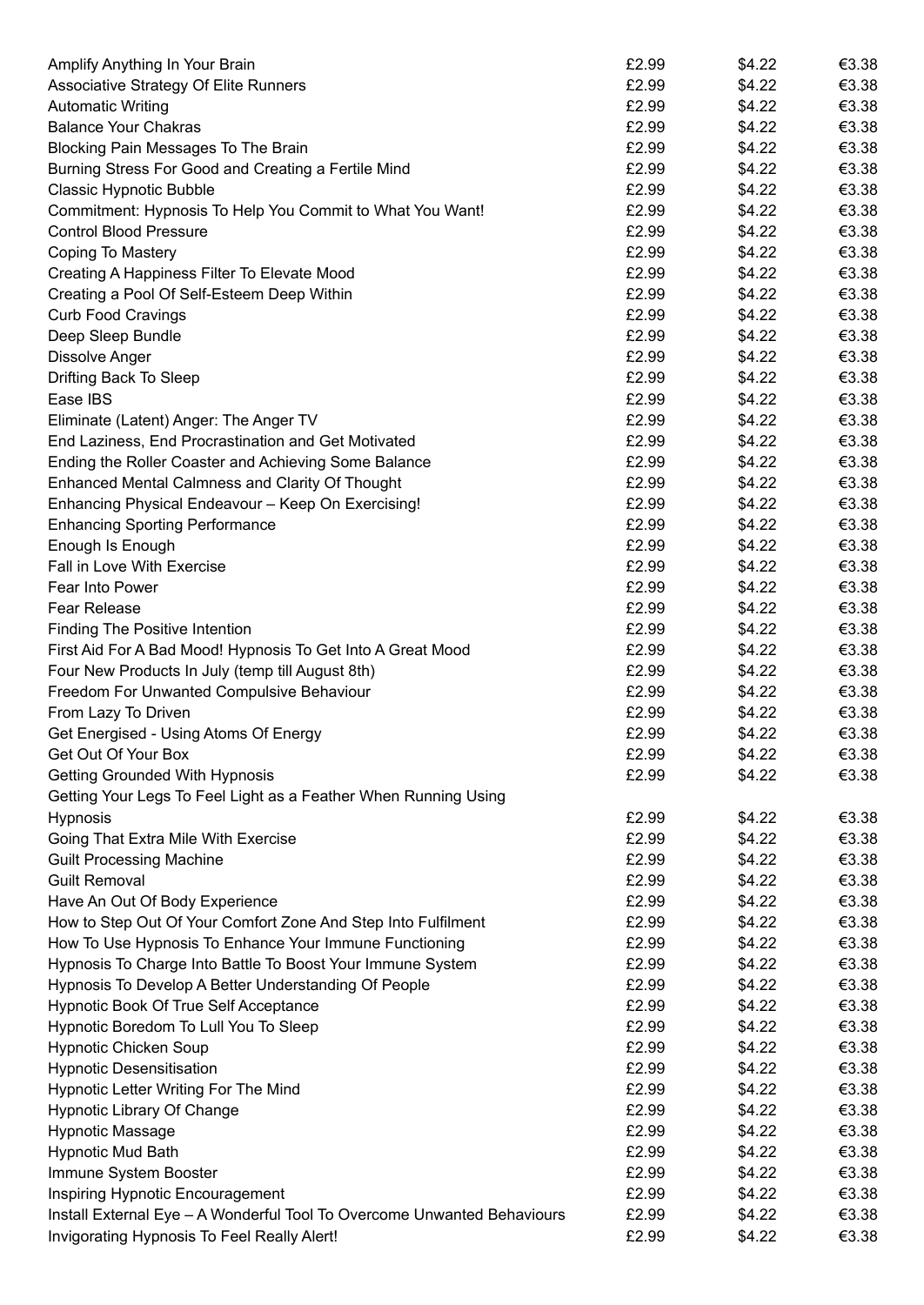| Amplify Anything In Your Brain                                          | £2.99 | \$4.22 | € $3.38$ |
|-------------------------------------------------------------------------|-------|--------|----------|
| Associative Strategy Of Elite Runners                                   | £2.99 | \$4.22 | €3.38    |
| <b>Automatic Writing</b>                                                | £2.99 | \$4.22 | €3.38    |
| <b>Balance Your Chakras</b>                                             | £2.99 | \$4.22 | €3.38    |
| Blocking Pain Messages To The Brain                                     | £2.99 | \$4.22 | €3.38    |
| Burning Stress For Good and Creating a Fertile Mind                     | £2.99 | \$4.22 | €3.38    |
| <b>Classic Hypnotic Bubble</b>                                          | £2.99 | \$4.22 | €3.38    |
| Commitment: Hypnosis To Help You Commit to What You Want!               | £2.99 | \$4.22 | €3.38    |
| <b>Control Blood Pressure</b>                                           | £2.99 | \$4.22 | €3.38    |
| Coping To Mastery                                                       | £2.99 | \$4.22 | €3.38    |
| Creating A Happiness Filter To Elevate Mood                             | £2.99 | \$4.22 | €3.38    |
| Creating a Pool Of Self-Esteem Deep Within                              | £2.99 | \$4.22 | €3.38    |
| <b>Curb Food Cravings</b>                                               | £2.99 | \$4.22 | €3.38    |
| Deep Sleep Bundle                                                       | £2.99 | \$4.22 | €3.38    |
| <b>Dissolve Anger</b>                                                   | £2.99 | \$4.22 | €3.38    |
| Drifting Back To Sleep                                                  | £2.99 | \$4.22 | €3.38    |
| Ease IBS                                                                | £2.99 | \$4.22 | €3.38    |
| Eliminate (Latent) Anger: The Anger TV                                  | £2.99 | \$4.22 | €3.38    |
| End Laziness, End Procrastination and Get Motivated                     | £2.99 | \$4.22 | €3.38    |
| Ending the Roller Coaster and Achieving Some Balance                    | £2.99 | \$4.22 | €3.38    |
| Enhanced Mental Calmness and Clarity Of Thought                         | £2.99 | \$4.22 | €3.38    |
| Enhancing Physical Endeavour - Keep On Exercising!                      | £2.99 | \$4.22 | €3.38    |
| <b>Enhancing Sporting Performance</b>                                   | £2.99 | \$4.22 | €3.38    |
| Enough Is Enough                                                        | £2.99 | \$4.22 | €3.38    |
| Fall in Love With Exercise                                              | £2.99 | \$4.22 | €3.38    |
| Fear Into Power                                                         | £2.99 | \$4.22 | €3.38    |
| Fear Release                                                            | £2.99 | \$4.22 | €3.38    |
| <b>Finding The Positive Intention</b>                                   | £2.99 | \$4.22 | €3.38    |
| First Aid For A Bad Mood! Hypnosis To Get Into A Great Mood             | £2.99 | \$4.22 | €3.38    |
| Four New Products In July (temp till August 8th)                        | £2.99 | \$4.22 | €3.38    |
| Freedom For Unwanted Compulsive Behaviour                               | £2.99 | \$4.22 | €3.38    |
| From Lazy To Driven                                                     | £2.99 | \$4.22 | €3.38    |
| Get Energised - Using Atoms Of Energy                                   | £2.99 | \$4.22 | €3.38    |
| Get Out Of Your Box                                                     | £2.99 | \$4.22 | €3.38    |
| Getting Grounded With Hypnosis                                          | £2.99 | \$4.22 | €3.38    |
| Getting Your Legs To Feel Light as a Feather When Running Using         |       |        |          |
| <b>Hypnosis</b>                                                         | £2.99 | \$4.22 | €3.38    |
| Going That Extra Mile With Exercise                                     | £2.99 | \$4.22 | €3.38    |
| <b>Guilt Processing Machine</b>                                         | £2.99 | \$4.22 | €3.38    |
| <b>Guilt Removal</b>                                                    | £2.99 | \$4.22 | €3.38    |
| Have An Out Of Body Experience                                          | £2.99 | \$4.22 | €3.38    |
| How to Step Out Of Your Comfort Zone And Step Into Fulfilment           | £2.99 | \$4.22 | €3.38    |
| How To Use Hypnosis To Enhance Your Immune Functioning                  | £2.99 | \$4.22 | €3.38    |
| Hypnosis To Charge Into Battle To Boost Your Immune System              | £2.99 | \$4.22 | €3.38    |
| Hypnosis To Develop A Better Understanding Of People                    | £2.99 | \$4.22 | €3.38    |
| <b>Hypnotic Book Of True Self Acceptance</b>                            | £2.99 | \$4.22 | €3.38    |
| Hypnotic Boredom To Lull You To Sleep                                   | £2.99 | \$4.22 | €3.38    |
| <b>Hypnotic Chicken Soup</b>                                            | £2.99 | \$4.22 | €3.38    |
| <b>Hypnotic Desensitisation</b>                                         | £2.99 | \$4.22 | €3.38    |
| Hypnotic Letter Writing For The Mind                                    | £2.99 | \$4.22 | €3.38    |
| <b>Hypnotic Library Of Change</b>                                       | £2.99 | \$4.22 | €3.38    |
| <b>Hypnotic Massage</b>                                                 | £2.99 | \$4.22 | €3.38    |
| <b>Hypnotic Mud Bath</b>                                                | £2.99 | \$4.22 | €3.38    |
| Immune System Booster                                                   | £2.99 | \$4.22 | €3.38    |
| Inspiring Hypnotic Encouragement                                        | £2.99 | \$4.22 | €3.38    |
| Install External Eye - A Wonderful Tool To Overcome Unwanted Behaviours | £2.99 | \$4.22 | €3.38    |
| Invigorating Hypnosis To Feel Really Alert!                             | £2.99 | \$4.22 | €3.38    |
|                                                                         |       |        |          |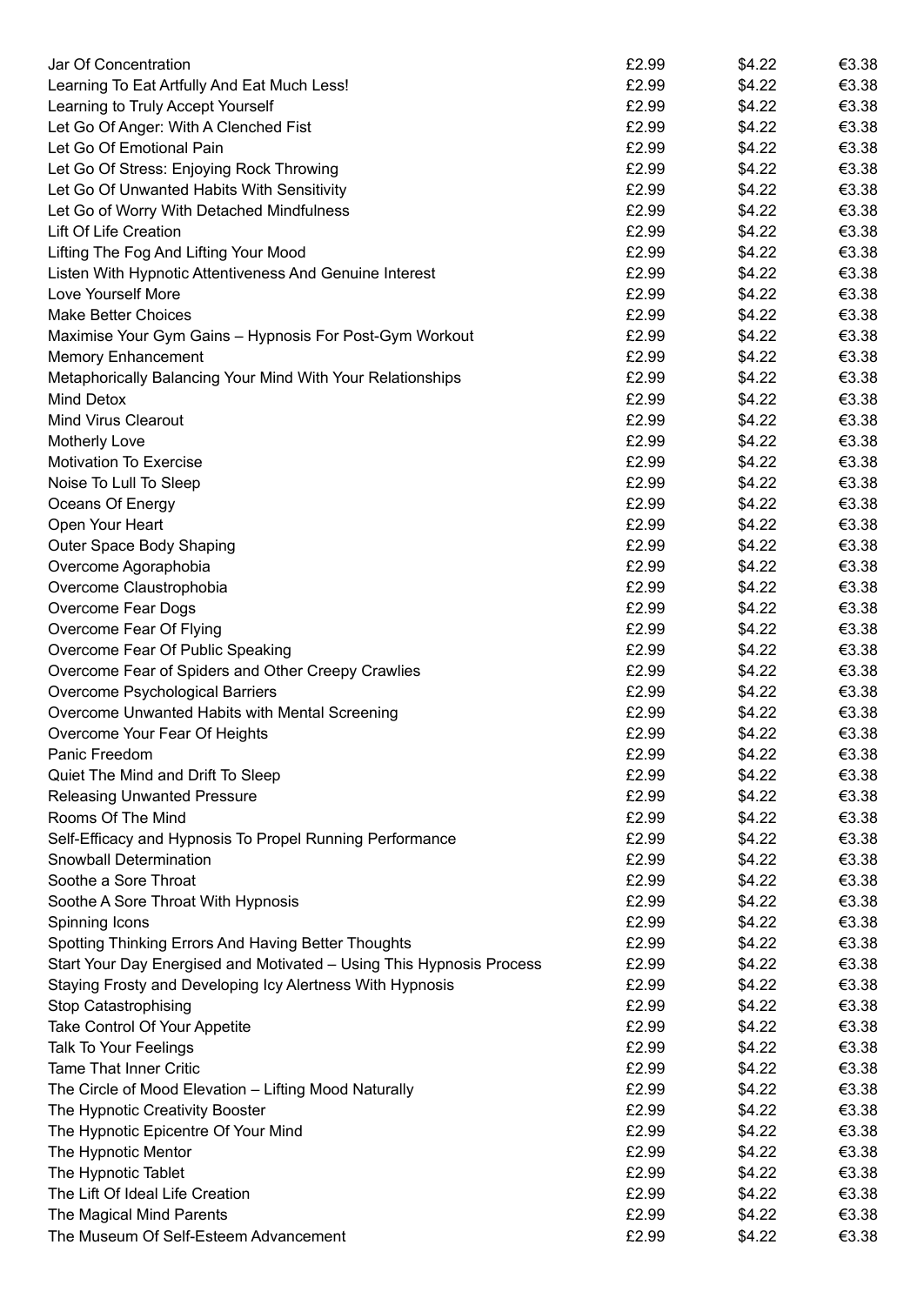| Jar Of Concentration                                                 | £2.99 | \$4.22 | €3.38    |
|----------------------------------------------------------------------|-------|--------|----------|
| Learning To Eat Artfully And Eat Much Less!                          | £2.99 | \$4.22 | € $3.38$ |
| Learning to Truly Accept Yourself                                    | £2.99 | \$4.22 | €3.38    |
| Let Go Of Anger: With A Clenched Fist                                | £2.99 | \$4.22 | €3.38    |
| Let Go Of Emotional Pain                                             | £2.99 | \$4.22 | €3.38    |
| Let Go Of Stress: Enjoying Rock Throwing                             | £2.99 | \$4.22 | €3.38    |
| Let Go Of Unwanted Habits With Sensitivity                           | £2.99 | \$4.22 | €3.38    |
| Let Go of Worry With Detached Mindfulness                            | £2.99 | \$4.22 | €3.38    |
| Lift Of Life Creation                                                | £2.99 | \$4.22 | €3.38    |
| Lifting The Fog And Lifting Your Mood                                | £2.99 | \$4.22 | €3.38    |
| Listen With Hypnotic Attentiveness And Genuine Interest              | £2.99 | \$4.22 | €3.38    |
| Love Yourself More                                                   | £2.99 | \$4.22 | €3.38    |
| <b>Make Better Choices</b>                                           | £2.99 | \$4.22 | €3.38    |
| Maximise Your Gym Gains - Hypnosis For Post-Gym Workout              | £2.99 | \$4.22 | €3.38    |
| <b>Memory Enhancement</b>                                            | £2.99 | \$4.22 | €3.38    |
| Metaphorically Balancing Your Mind With Your Relationships           | £2.99 | \$4.22 | €3.38    |
| Mind Detox                                                           | £2.99 | \$4.22 | €3.38    |
| <b>Mind Virus Clearout</b>                                           | £2.99 | \$4.22 | €3.38    |
| Motherly Love                                                        | £2.99 | \$4.22 | €3.38    |
| <b>Motivation To Exercise</b>                                        | £2.99 | \$4.22 | €3.38    |
| Noise To Lull To Sleep                                               | £2.99 | \$4.22 | €3.38    |
| Oceans Of Energy                                                     | £2.99 | \$4.22 | €3.38    |
| Open Your Heart                                                      | £2.99 | \$4.22 | €3.38    |
| Outer Space Body Shaping                                             | £2.99 | \$4.22 | €3.38    |
| Overcome Agoraphobia                                                 | £2.99 | \$4.22 | €3.38    |
| Overcome Claustrophobia                                              | £2.99 | \$4.22 | €3.38    |
| Overcome Fear Dogs                                                   | £2.99 | \$4.22 | €3.38    |
| Overcome Fear Of Flying                                              | £2.99 | \$4.22 | €3.38    |
| Overcome Fear Of Public Speaking                                     | £2.99 | \$4.22 | €3.38    |
| Overcome Fear of Spiders and Other Creepy Crawlies                   | £2.99 | \$4.22 | €3.38    |
| Overcome Psychological Barriers                                      | £2.99 | \$4.22 | €3.38    |
| Overcome Unwanted Habits with Mental Screening                       | £2.99 | \$4.22 | €3.38    |
| Overcome Your Fear Of Heights                                        | £2.99 | \$4.22 | €3.38    |
| Panic Freedom                                                        | £2.99 | \$4.22 | €3.38    |
| Quiet The Mind and Drift To Sleep                                    | £2.99 | \$4.22 | €3.38    |
| <b>Releasing Unwanted Pressure</b>                                   | £2.99 | \$4.22 | €3.38    |
| Rooms Of The Mind                                                    | £2.99 | \$4.22 | €3.38    |
| Self-Efficacy and Hypnosis To Propel Running Performance             | £2.99 | \$4.22 | €3.38    |
| Snowball Determination                                               | £2.99 | \$4.22 | €3.38    |
| Soothe a Sore Throat                                                 | £2.99 | \$4.22 | €3.38    |
| Soothe A Sore Throat With Hypnosis                                   | £2.99 | \$4.22 | €3.38    |
| Spinning Icons                                                       | £2.99 | \$4.22 | €3.38    |
| Spotting Thinking Errors And Having Better Thoughts                  | £2.99 | \$4.22 | €3.38    |
| Start Your Day Energised and Motivated - Using This Hypnosis Process | £2.99 | \$4.22 | €3.38    |
| Staying Frosty and Developing Icy Alertness With Hypnosis            | £2.99 | \$4.22 | €3.38    |
| Stop Catastrophising                                                 | £2.99 | \$4.22 | €3.38    |
| Take Control Of Your Appetite                                        | £2.99 | \$4.22 | €3.38    |
| Talk To Your Feelings                                                | £2.99 | \$4.22 | €3.38    |
| <b>Tame That Inner Critic</b>                                        | £2.99 | \$4.22 | €3.38    |
| The Circle of Mood Elevation - Lifting Mood Naturally                | £2.99 | \$4.22 | €3.38    |
| The Hypnotic Creativity Booster                                      | £2.99 | \$4.22 | €3.38    |
| The Hypnotic Epicentre Of Your Mind                                  | £2.99 | \$4.22 | €3.38    |
| The Hypnotic Mentor                                                  | £2.99 | \$4.22 | €3.38    |
| The Hypnotic Tablet                                                  | £2.99 | \$4.22 | €3.38    |
| The Lift Of Ideal Life Creation                                      | £2.99 | \$4.22 | €3.38    |
| The Magical Mind Parents                                             | £2.99 | \$4.22 | €3.38    |
| The Museum Of Self-Esteem Advancement                                | £2.99 | \$4.22 | €3.38    |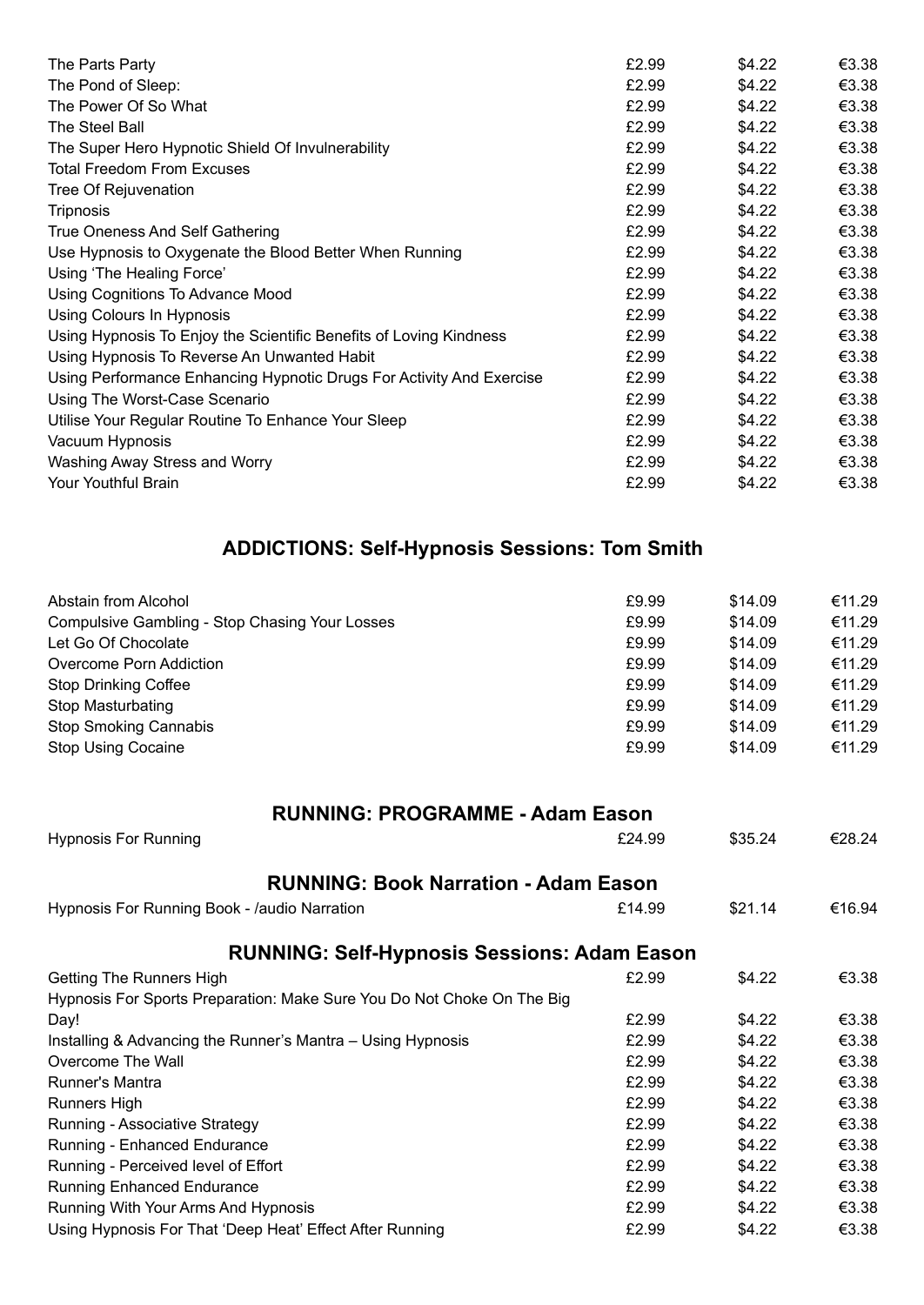| The Parts Party                                                      | £2.99 | \$4.22 | € $3.38$ |
|----------------------------------------------------------------------|-------|--------|----------|
| The Pond of Sleep:                                                   | £2.99 | \$4.22 | € $3.38$ |
| The Power Of So What                                                 | £2.99 | \$4.22 | €3.38    |
| The Steel Ball                                                       | £2.99 | \$4.22 | €3.38    |
| The Super Hero Hypnotic Shield Of Invulnerability                    | £2.99 | \$4.22 | €3.38    |
| <b>Total Freedom From Excuses</b>                                    | £2.99 | \$4.22 | €3.38    |
| Tree Of Rejuvenation                                                 | £2.99 | \$4.22 | €3.38    |
| Tripnosis                                                            | £2.99 | \$4.22 | €3.38    |
| True Oneness And Self Gathering                                      | £2.99 | \$4.22 | €3.38    |
| Use Hypnosis to Oxygenate the Blood Better When Running              | £2.99 | \$4.22 | €3.38    |
| Using 'The Healing Force'                                            | £2.99 | \$4.22 | €3.38    |
| Using Cognitions To Advance Mood                                     | £2.99 | \$4.22 | €3.38    |
| Using Colours In Hypnosis                                            | £2.99 | \$4.22 | €3.38    |
| Using Hypnosis To Enjoy the Scientific Benefits of Loving Kindness   | £2.99 | \$4.22 | €3.38    |
| Using Hypnosis To Reverse An Unwanted Habit                          | £2.99 | \$4.22 | € $3.38$ |
| Using Performance Enhancing Hypnotic Drugs For Activity And Exercise | £2.99 | \$4.22 | €3.38    |
| Using The Worst-Case Scenario                                        | £2.99 | \$4.22 | €3.38    |
| Utilise Your Regular Routine To Enhance Your Sleep                   | £2.99 | \$4.22 | €3.38    |
| Vacuum Hypnosis                                                      | £2.99 | \$4.22 | €3.38    |
| Washing Away Stress and Worry                                        | £2.99 | \$4.22 | €3.38    |
| Your Youthful Brain                                                  | £2.99 | \$4.22 | €3.38    |

# **ADDICTIONS: Self-Hypnosis Sessions: Tom Smith**

| Abstain from Alcohol                           | £9.99 | \$14.09 | €11.29 |
|------------------------------------------------|-------|---------|--------|
| Compulsive Gambling - Stop Chasing Your Losses | £9.99 | \$14.09 | €11.29 |
| Let Go Of Chocolate                            | £9.99 | \$14.09 | €11.29 |
| Overcome Porn Addiction                        | £9.99 | \$14.09 | €11.29 |
| Stop Drinking Coffee                           | £9.99 | \$14.09 | €11.29 |
| Stop Masturbating                              | £9.99 | \$14.09 | €11.29 |
| <b>Stop Smoking Cannabis</b>                   | £9.99 | \$14.09 | €11.29 |
| <b>Stop Using Cocaine</b>                      | £9.99 | \$14.09 | €11.29 |

| <b>RUNNING: PROGRAMME - Adam Eason</b>                                 |        |         |        |
|------------------------------------------------------------------------|--------|---------|--------|
| <b>Hypnosis For Running</b>                                            | £24.99 | \$35.24 | €28.24 |
| <b>RUNNING: Book Narration - Adam Eason</b>                            |        |         |        |
| Hypnosis For Running Book - /audio Narration                           | £14.99 | \$21.14 | €16.94 |
| <b>RUNNING: Self-Hypnosis Sessions: Adam Eason</b>                     |        |         |        |
| <b>Getting The Runners High</b>                                        | £2.99  | \$4.22  | €3.38  |
| Hypnosis For Sports Preparation: Make Sure You Do Not Choke On The Big |        |         |        |
| Day!                                                                   | £2.99  | \$4.22  | €3.38  |
| Installing & Advancing the Runner's Mantra – Using Hypnosis            | £2.99  | \$4.22  | €3.38  |
| Overcome The Wall                                                      | £2.99  | \$4.22  | €3.38  |
| Runner's Mantra                                                        | £2.99  | \$4.22  | €3.38  |
| Runners High                                                           | £2.99  | \$4.22  | €3.38  |
| Running - Associative Strategy                                         | £2.99  | \$4.22  | €3.38  |
| Running - Enhanced Endurance                                           | £2.99  | \$4.22  | €3.38  |
| Running - Perceived level of Effort                                    | £2.99  | \$4.22  | €3.38  |
| <b>Running Enhanced Endurance</b>                                      | £2.99  | \$4.22  | €3.38  |
| Running With Your Arms And Hypnosis                                    | £2.99  | \$4.22  | €3.38  |
| Using Hypnosis For That 'Deep Heat' Effect After Running               | £2.99  | \$4.22  | €3.38  |
|                                                                        |        |         |        |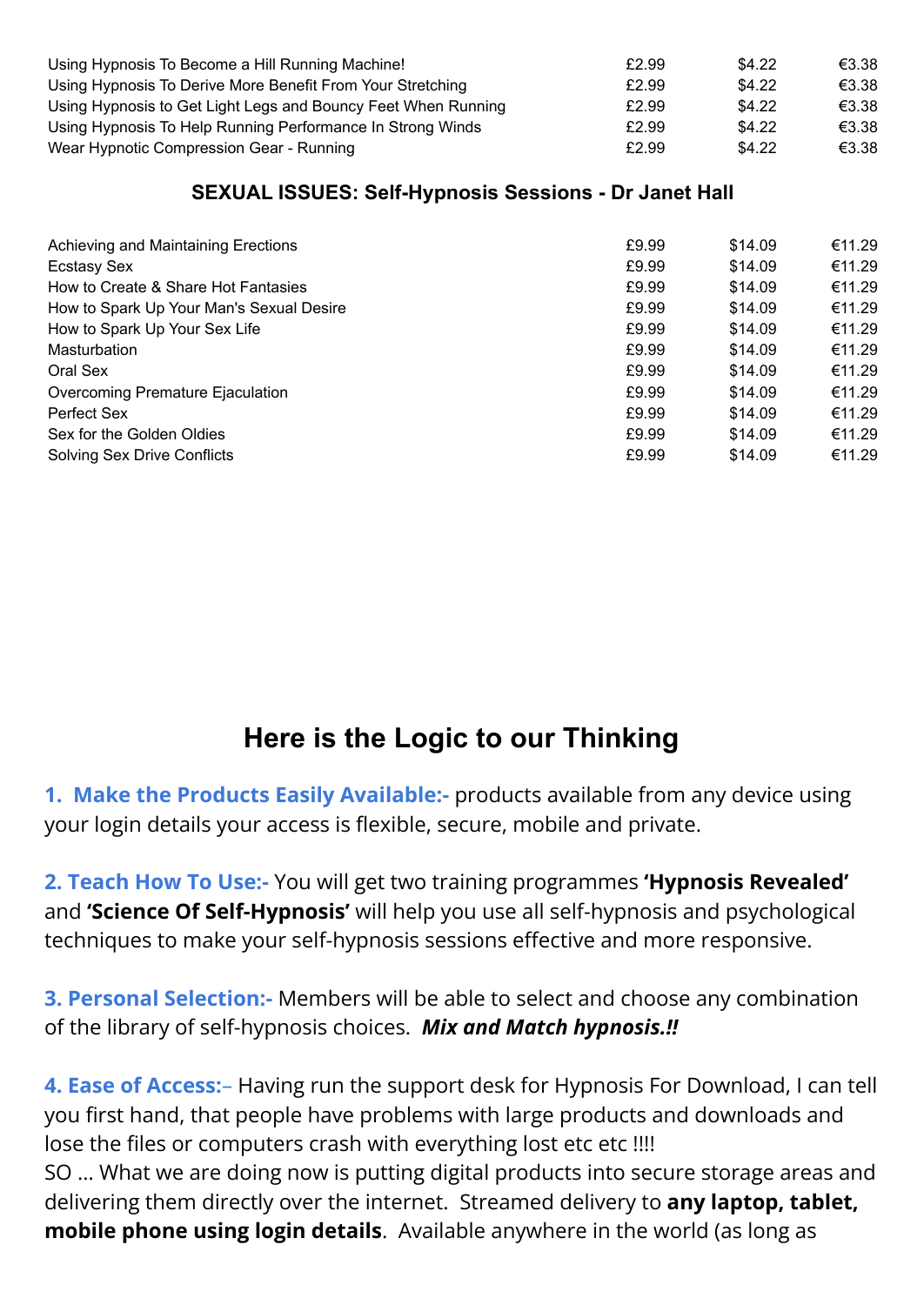| Using Hypnosis To Become a Hill Running Machine!              | £2.99 | \$4.22 | €3.38 |
|---------------------------------------------------------------|-------|--------|-------|
| Using Hypnosis To Derive More Benefit From Your Stretching    | £2.99 | \$4.22 | €3.38 |
| Using Hypnosis to Get Light Legs and Bouncy Feet When Running | £2.99 | \$4.22 | €3.38 |
| Using Hypnosis To Help Running Performance In Strong Winds    | £2.99 | \$4.22 | €3.38 |
| Wear Hypnotic Compression Gear - Running                      | £2.99 | \$4.22 | €3.38 |

## **SEXUAL ISSUES: Self-Hypnosis Sessions - Dr Janet Hall**

| Achieving and Maintaining Erections      | £9.99 | \$14.09 | €11.29 |
|------------------------------------------|-------|---------|--------|
| Ecstasy Sex                              | £9.99 | \$14.09 | €11.29 |
| How to Create & Share Hot Fantasies      | £9.99 | \$14.09 | €11.29 |
| How to Spark Up Your Man's Sexual Desire | £9.99 | \$14.09 | €11.29 |
| How to Spark Up Your Sex Life            | £9.99 | \$14.09 | €11.29 |
| Masturbation                             | £9.99 | \$14.09 | €11.29 |
| Oral Sex                                 | £9.99 | \$14.09 | €11.29 |
| Overcoming Premature Ejaculation         | £9.99 | \$14.09 | €11.29 |
| Perfect Sex                              | £9.99 | \$14.09 | €11.29 |
| Sex for the Golden Oldies                | £9.99 | \$14.09 | €11.29 |
| <b>Solving Sex Drive Conflicts</b>       | £9.99 | \$14.09 | €11.29 |

# **Here is the Logic to our Thinking**

**1. Make the Products Easily Available:-** products available from any device using your login details your access is flexible, secure, mobile and private.

**2. Teach How To Use:-** You will get two training programmes **'Hypnosis Revealed'** and **'Science Of Self-Hypnosis'** will help you use all self-hypnosis and psychological techniques to make your self-hypnosis sessions effective and more responsive.

**3. Personal Selection:-** Members will be able to select and choose any combination of the library of self-hypnosis choices. *Mix and Match hypnosis.!!*

**4. Ease of Access:**– Having run the support desk for Hypnosis For Download, I can tell you first hand, that people have problems with large products and downloads and lose the files or computers crash with everything lost etc etc !!!! SO … What we are doing now is putting digital products into secure storage areas and delivering them directly over the internet. Streamed delivery to **any laptop, tablet, mobile phone using login details**. Available anywhere in the world (as long as